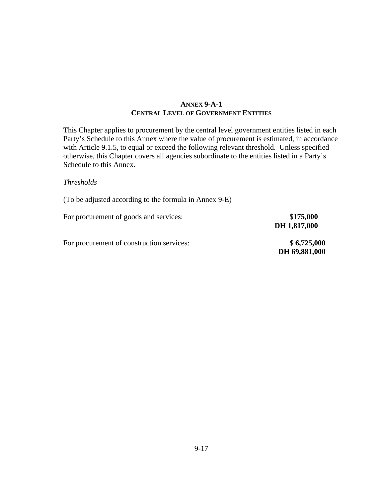### **ANNEX 9-A-1 CENTRAL LEVEL OF GOVERNMENT ENTITIES**

This Chapter applies to procurement by the central level government entities listed in each Party's Schedule to this Annex where the value of procurement is estimated, in accordance with Article 9.1.5, to equal or exceed the following relevant threshold. Unless specified otherwise, this Chapter covers all agencies subordinate to the entities listed in a Party's Schedule to this Annex.

#### *Thresholds*

(To be adjusted according to the formula in Annex 9-E)

| For procurement of goods and services: | \$175,000    |
|----------------------------------------|--------------|
|                                        | DH 1,817,000 |

For procurement of construction services:  $$6,725,000$ 

 **DH 69,881,000**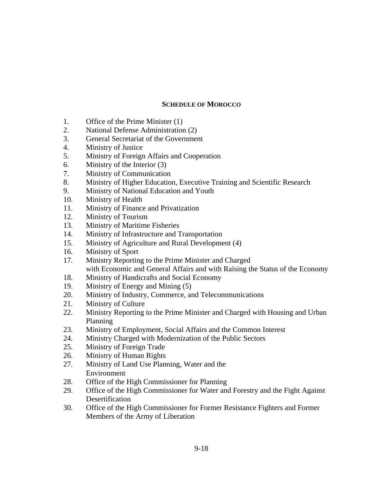### **SCHEDULE OF MOROCCO**

- 1. Office of the Prime Minister (1)
- 2. National Defense Administration (2)
- 3. General Secretariat of the Government
- 4. Ministry of Justice
- 5. Ministry of Foreign Affairs and Cooperation
- 6. Ministry of the Interior (3)
- 7. Ministry of Communication
- 8. Ministry of Higher Education, Executive Training and Scientific Research
- 9. Ministry of National Education and Youth
- 10. Ministry of Health
- 11. Ministry of Finance and Privatization
- 12. Ministry of Tourism
- 13. Ministry of Maritime Fisheries
- 14. Ministry of Infrastructure and Transportation
- 15. Ministry of Agriculture and Rural Development (4)
- 16. Ministry of Sport
- 17. Ministry Reporting to the Prime Minister and Charged with Economic and General Affairs and with Raising the Status of the Economy
- 18. Ministry of Handicrafts and Social Economy
- 19. Ministry of Energy and Mining (5)
- 20. Ministry of Industry, Commerce, and Telecommunications
- 21. Ministry of Culture
- 22. Ministry Reporting to the Prime Minister and Charged with Housing and Urban Planning
- 23. Ministry of Employment, Social Affairs and the Common Interest
- 24. Ministry Charged with Modernization of the Public Sectors
- 25. Ministry of Foreign Trade
- 26. Ministry of Human Rights
- 27. Ministry of Land Use Planning, Water and the Environment
- 28. Office of the High Commissioner for Planning
- 29. Office of the High Commissioner for Water and Forestry and the Fight Against **Desertification**
- 30. Office of the High Commissioner for Former Resistance Fighters and Former Members of the Army of Liberation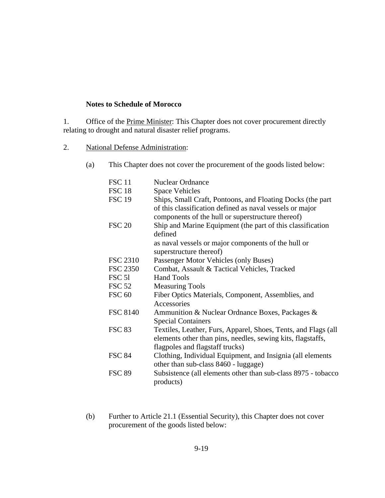#### **Notes to Schedule of Morocco**

1. Office of the **Prime Minister:** This Chapter does not cover procurement directly relating to drought and natural disaster relief programs.

2. National Defense Administration:

(a) This Chapter does not cover the procurement of the goods listed below:

| <b>FSC 11</b>   | <b>Nuclear Ordnance</b>                                                                                                                                                     |
|-----------------|-----------------------------------------------------------------------------------------------------------------------------------------------------------------------------|
| FSC 18          | <b>Space Vehicles</b>                                                                                                                                                       |
| <b>FSC 19</b>   | Ships, Small Craft, Pontoons, and Floating Docks (the part<br>of this classification defined as naval vessels or major<br>components of the hull or superstructure thereof) |
| <b>FSC 20</b>   | Ship and Marine Equipment (the part of this classification<br>defined<br>as naval vessels or major components of the hull or<br>superstructure thereof)                     |
| <b>FSC 2310</b> | Passenger Motor Vehicles (only Buses)                                                                                                                                       |
| <b>FSC 2350</b> | Combat, Assault & Tactical Vehicles, Tracked                                                                                                                                |
| FSC 51          | <b>Hand Tools</b>                                                                                                                                                           |
| FSC 52          | <b>Measuring Tools</b>                                                                                                                                                      |
| <b>FSC 60</b>   | Fiber Optics Materials, Component, Assemblies, and<br>Accessories                                                                                                           |
| <b>FSC 8140</b> | Ammunition & Nuclear Ordnance Boxes, Packages &<br><b>Special Containers</b>                                                                                                |
| <b>FSC 83</b>   | Textiles, Leather, Furs, Apparel, Shoes, Tents, and Flags (all<br>elements other than pins, needles, sewing kits, flagstaffs,<br>flagpoles and flagstaff trucks)            |
| <b>FSC 84</b>   | Clothing, Individual Equipment, and Insignia (all elements<br>other than sub-class 8460 - luggage)                                                                          |
| <b>FSC 89</b>   | Subsistence (all elements other than sub-class 8975 - tobacco<br>products)                                                                                                  |

(b) Further to Article 21.1 (Essential Security), this Chapter does not cover procurement of the goods listed below: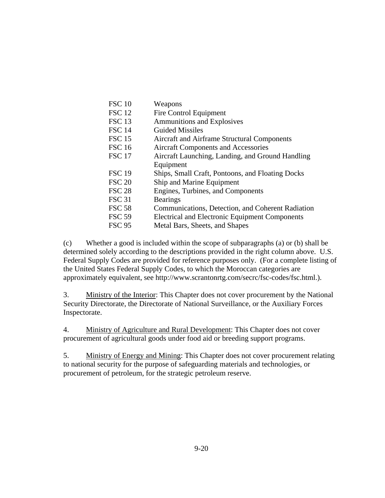| Weapons                                               |
|-------------------------------------------------------|
| Fire Control Equipment                                |
| <b>Ammunitions and Explosives</b>                     |
| <b>Guided Missiles</b>                                |
| Aircraft and Airframe Structural Components           |
| <b>Aircraft Components and Accessories</b>            |
| Aircraft Launching, Landing, and Ground Handling      |
| Equipment                                             |
| Ships, Small Craft, Pontoons, and Floating Docks      |
| Ship and Marine Equipment                             |
| Engines, Turbines, and Components                     |
| <b>Bearings</b>                                       |
| Communications, Detection, and Coherent Radiation     |
| <b>Electrical and Electronic Equipment Components</b> |
| Metal Bars, Sheets, and Shapes                        |
|                                                       |

(c) Whether a good is included within the scope of subparagraphs (a) or (b) shall be determined solely according to the descriptions provided in the right column above. U.S. Federal Supply Codes are provided for reference purposes only. (For a complete listing of the United States Federal Supply Codes, to which the Moroccan categories are approximately equivalent, see http://www.scrantonrtg.com/secrc/fsc-codes/fsc.html.).

3. Ministry of the Interior: This Chapter does not cover procurement by the National Security Directorate, the Directorate of National Surveillance, or the Auxiliary Forces Inspectorate.

4. Ministry of Agriculture and Rural Development: This Chapter does not cover procurement of agricultural goods under food aid or breeding support programs.

5. Ministry of Energy and Mining: This Chapter does not cover procurement relating to national security for the purpose of safeguarding materials and technologies, or procurement of petroleum, for the strategic petroleum reserve.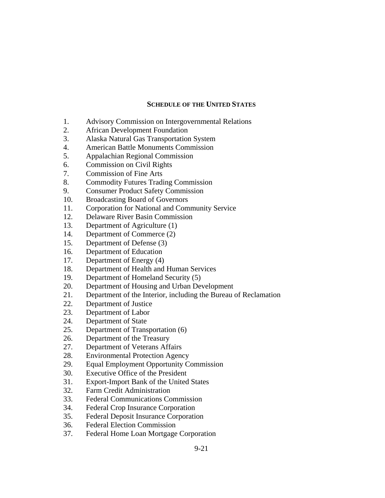#### **SCHEDULE OF THE UNITED STATES**

- 1. Advisory Commission on Intergovernmental Relations
- 2. African Development Foundation
- 3. Alaska Natural Gas Transportation System
- 4. American Battle Monuments Commission
- 5. Appalachian Regional Commission
- 6. Commission on Civil Rights
- 7. Commission of Fine Arts
- 8. Commodity Futures Trading Commission
- 9. Consumer Product Safety Commission
- 10. Broadcasting Board of Governors
- 11. Corporation for National and Community Service
- 12. Delaware River Basin Commission
- 13. Department of Agriculture (1)
- 14. Department of Commerce (2)
- 15. Department of Defense (3)
- 16. Department of Education
- 17. Department of Energy (4)
- 18. Department of Health and Human Services
- 19. Department of Homeland Security (5)
- 20. Department of Housing and Urban Development
- 21. Department of the Interior, including the Bureau of Reclamation
- 22. Department of Justice
- 23. Department of Labor
- 24. Department of State
- 25. Department of Transportation (6)
- 26. Department of the Treasury
- 27. Department of Veterans Affairs
- 28. Environmental Protection Agency
- 29. Equal Employment Opportunity Commission
- 30. Executive Office of the President
- 31. Export-Import Bank of the United States
- 32. Farm Credit Administration
- 33. Federal Communications Commission
- 34. Federal Crop Insurance Corporation
- 35. Federal Deposit Insurance Corporation
- 36. Federal Election Commission
- 37. Federal Home Loan Mortgage Corporation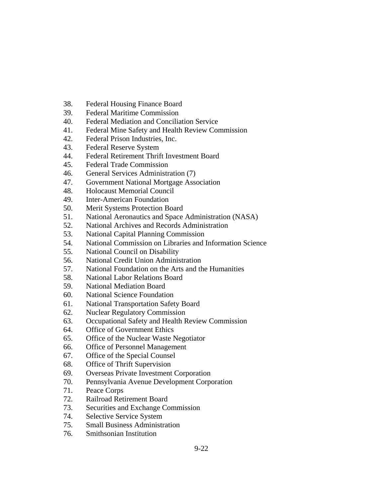- 38. Federal Housing Finance Board
- 39. Federal Maritime Commission
- 40. Federal Mediation and Conciliation Service
- 41. Federal Mine Safety and Health Review Commission
- 42. Federal Prison Industries, Inc.
- 43. Federal Reserve System
- 44. Federal Retirement Thrift Investment Board
- 45. Federal Trade Commission
- 46. General Services Administration (7)
- 47. Government National Mortgage Association
- 48. Holocaust Memorial Council
- 49. Inter-American Foundation
- 50. Merit Systems Protection Board
- 51. National Aeronautics and Space Administration (NASA)
- 52. National Archives and Records Administration
- 53. National Capital Planning Commission
- 54. National Commission on Libraries and Information Science
- 55. National Council on Disability
- 56. National Credit Union Administration
- 57. National Foundation on the Arts and the Humanities
- 58. National Labor Relations Board
- 59. National Mediation Board
- 60. National Science Foundation
- 61. National Transportation Safety Board
- 62. Nuclear Regulatory Commission
- 63. Occupational Safety and Health Review Commission
- 64. Office of Government Ethics
- 65. Office of the Nuclear Waste Negotiator
- 66. Office of Personnel Management
- 67. Office of the Special Counsel
- 68. Office of Thrift Supervision
- 69. Overseas Private Investment Corporation
- 70. Pennsylvania Avenue Development Corporation
- 71. Peace Corps
- 72. Railroad Retirement Board
- 73. Securities and Exchange Commission
- 74. Selective Service System
- 75. Small Business Administration
- 76. Smithsonian Institution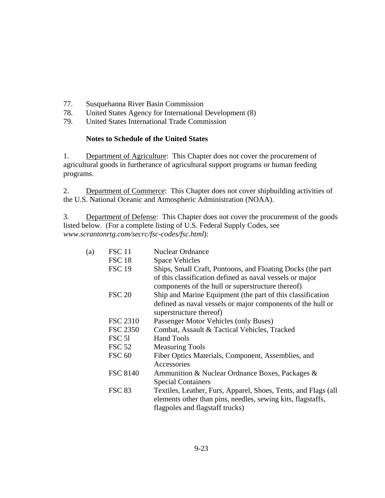- 77. Susquehanna River Basin Commission
- 78. United States Agency for International Development (8)
- 79. United States International Trade Commission

#### **Notes to Schedule of the United States**

1. Department of Agriculture: This Chapter does not cover the procurement of agricultural goods in furtherance of agricultural support programs or human feeding programs.

2. Department of Commerce: This Chapter does not cover shipbuilding activities of the U.S. National Oceanic and Atmospheric Administration (NOAA).

3. Department of Defense: This Chapter does not cover the procurement of the goods listed below. (For a complete listing of U.S. Federal Supply Codes, see *www.scrantonrtg.com/secrc/fsc-codes/fsc.html*):

| (a) | <b>FSC</b> 11   | <b>Nuclear Ordnance</b>                                                                                                                                          |
|-----|-----------------|------------------------------------------------------------------------------------------------------------------------------------------------------------------|
|     | <b>FSC 18</b>   | <b>Space Vehicles</b>                                                                                                                                            |
|     | <b>FSC 19</b>   | Ships, Small Craft, Pontoons, and Floating Docks (the part                                                                                                       |
|     |                 | of this classification defined as naval vessels or major<br>components of the hull or superstructure thereof)                                                    |
|     | <b>FSC 20</b>   | Ship and Marine Equipment (the part of this classification                                                                                                       |
|     |                 | defined as naval vessels or major components of the hull or                                                                                                      |
|     |                 | superstructure thereof)                                                                                                                                          |
|     | FSC 2310        | Passenger Motor Vehicles (only Buses)                                                                                                                            |
|     | <b>FSC 2350</b> | Combat, Assault & Tactical Vehicles, Tracked                                                                                                                     |
|     | <b>FSC 51</b>   | <b>Hand Tools</b>                                                                                                                                                |
|     | <b>FSC 52</b>   | <b>Measuring Tools</b>                                                                                                                                           |
|     | <b>FSC 60</b>   | Fiber Optics Materials, Component, Assemblies, and                                                                                                               |
|     |                 | Accessories                                                                                                                                                      |
|     | <b>FSC 8140</b> | Ammunition & Nuclear Ordnance Boxes, Packages &                                                                                                                  |
|     |                 | <b>Special Containers</b>                                                                                                                                        |
|     | <b>FSC 83</b>   | Textiles, Leather, Furs, Apparel, Shoes, Tents, and Flags (all<br>elements other than pins, needles, sewing kits, flagstaffs,<br>flagpoles and flagstaff trucks) |
|     |                 |                                                                                                                                                                  |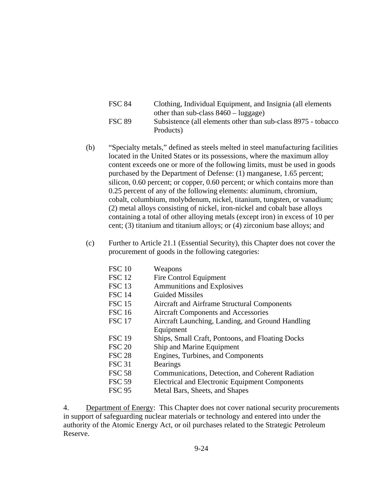| <b>FSC 84</b> | Clothing, Individual Equipment, and Insignia (all elements     |
|---------------|----------------------------------------------------------------|
|               | other than sub-class $8460 - \text{luggage}$ )                 |
| <b>FSC 89</b> | Subsistence (all elements other than sub-class 8975 - tobacco) |
|               | Products)                                                      |

- (b) "Specialty metals," defined as steels melted in steel manufacturing facilities located in the United States or its possessions, where the maximum alloy content exceeds one or more of the following limits, must be used in goods purchased by the Department of Defense: (1) manganese, 1.65 percent; silicon, 0.60 percent; or copper, 0.60 percent; or which contains more than 0.25 percent of any of the following elements: aluminum, chromium, cobalt, columbium, molybdenum, nickel, titanium, tungsten, or vanadium; (2) metal alloys consisting of nickel, iron-nickel and cobalt base alloys containing a total of other alloying metals (except iron) in excess of 10 per cent; (3) titanium and titanium alloys; or (4) zirconium base alloys; and
- (c) Further to Article 21.1 (Essential Security), this Chapter does not cover the procurement of goods in the following categories:

| <b>FSC 10</b> | Weapons                                               |
|---------------|-------------------------------------------------------|
| <b>FSC 12</b> | Fire Control Equipment                                |
| <b>FSC 13</b> | <b>Ammunitions and Explosives</b>                     |
| <b>FSC 14</b> | <b>Guided Missiles</b>                                |
| <b>FSC 15</b> | Aircraft and Airframe Structural Components           |
| <b>FSC 16</b> | <b>Aircraft Components and Accessories</b>            |
| <b>FSC 17</b> | Aircraft Launching, Landing, and Ground Handling      |
|               | Equipment                                             |
| <b>FSC 19</b> | Ships, Small Craft, Pontoons, and Floating Docks      |
| <b>FSC 20</b> | Ship and Marine Equipment                             |
| <b>FSC 28</b> | Engines, Turbines, and Components                     |
| <b>FSC 31</b> | <b>Bearings</b>                                       |
| <b>FSC 58</b> | Communications, Detection, and Coherent Radiation     |
| <b>FSC 59</b> | <b>Electrical and Electronic Equipment Components</b> |
| <b>FSC 95</b> | Metal Bars, Sheets, and Shapes                        |
|               |                                                       |

4. Department of Energy: This Chapter does not cover national security procurements in support of safeguarding nuclear materials or technology and entered into under the authority of the Atomic Energy Act, or oil purchases related to the Strategic Petroleum Reserve.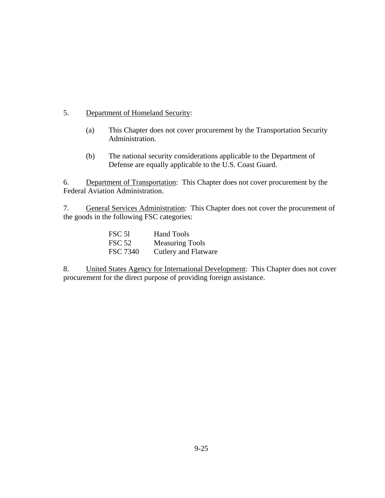# 5. Department of Homeland Security:

- (a) This Chapter does not cover procurement by the Transportation Security Administration.
- (b) The national security considerations applicable to the Department of Defense are equally applicable to the U.S. Coast Guard.

6. Department of Transportation: This Chapter does not cover procurement by the Federal Aviation Administration.

7. General Services Administration: This Chapter does not cover the procurement of the goods in the following FSC categories:

| FSC 51          | <b>Hand Tools</b>      |
|-----------------|------------------------|
| <b>FSC 52</b>   | <b>Measuring Tools</b> |
| <b>FSC 7340</b> | Cutlery and Flatware   |

8. United States Agency for International Development: This Chapter does not cover procurement for the direct purpose of providing foreign assistance.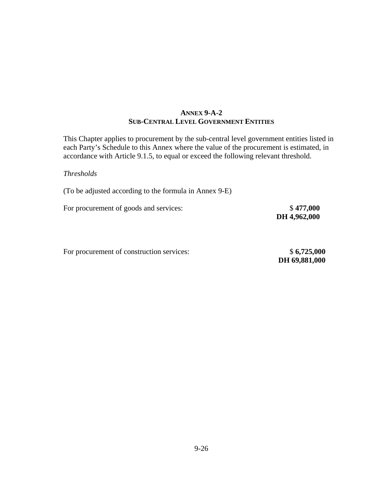## **ANNEX 9-A-2 SUB-CENTRAL LEVEL GOVERNMENT ENTITIES**

This Chapter applies to procurement by the sub-central level government entities listed in each Party's Schedule to this Annex where the value of the procurement is estimated, in accordance with Article 9.1.5*,* to equal or exceed the following relevant threshold.

#### *Thresholds*

(To be adjusted according to the formula in Annex 9-E)

For procurement of goods and services:  $$ 477,000$ 

 **DH 4,962,000** 

For procurement of construction services:  $$ 6,725,000$ 

 **DH 69,881,000**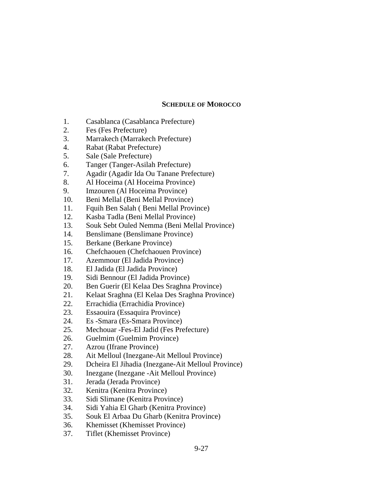#### **SCHEDULE OF MOROCCO**

- 1. Casablanca (Casablanca Prefecture)
- 2. Fes (Fes Prefecture)
- 3. Marrakech (Marrakech Prefecture)
- 4. Rabat (Rabat Prefecture)
- 5. Sale (Sale Prefecture)
- 6. Tanger (Tanger-Asilah Prefecture)
- 7. Agadir (Agadir Ida Ou Tanane Prefecture)
- 8. Al Hoceima (Al Hoceima Province)
- 9. Imzouren (Al Hoceima Province)
- 10. Beni Mellal (Beni Mellal Province)
- 11. Fquih Ben Salah ( Beni Mellal Province)
- 12. Kasba Tadla (Beni Mellal Province)
- 13. Souk Sebt Ouled Nemma (Beni Mellal Province)
- 14. Benslimane (Benslimane Province)
- 15. Berkane (Berkane Province)
- 16. Chefchaouen (Chefchaouen Province)
- 17. Azemmour (El Jadida Province)
- 18. El Jadida (El Jadida Province)
- 19. Sidi Bennour (El Jadida Province)
- 20. Ben Guerir (El Kelaa Des Sraghna Province)
- 21. Kelaat Sraghna (El Kelaa Des Sraghna Province)
- 22. Errachidia (Errachidia Province)
- 23. Essaouira (Essaquira Province)
- 24. Es -Smara (Es-Smara Province)
- 25. Mechouar -Fes-El Jadid (Fes Prefecture)
- 26. Guelmim (Guelmim Province)
- 27. Azrou (Ifrane Province)
- 28. Ait Melloul (Inezgane-Ait Melloul Province)
- 29. Dcheira El Jihadia (Inezgane-Ait Melloul Province)
- 30. Inezgane (Inezgane -Ait Melloul Province)
- 31. Jerada (Jerada Province)
- 32. Kenitra (Kenitra Province)
- 33. Sidi Slimane (Kenitra Province)
- 34. Sidi Yahia El Gharb (Kenitra Province)
- 35. Souk El Arbaa Du Gharb (Kenitra Province)
- 36. Khemisset (Khemisset Province)
- 37. Tiflet (Khemisset Province)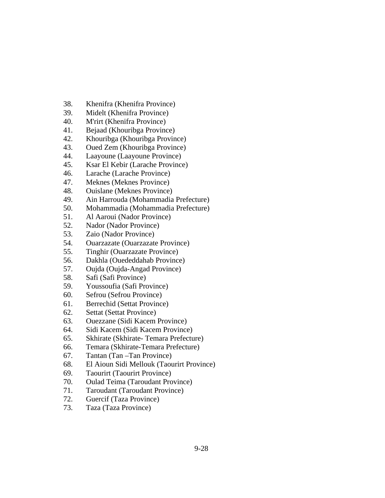- 38. Khenifra (Khenifra Province)
- 39. Midelt (Khenifra Province)
- 40. M'rirt (Khenifra Province)
- 41. Bejaad (Khouribga Province)
- 42. Khouribga (Khouribga Province)
- 43. Oued Zem (Khouribga Province)
- 44. Laayoune (Laayoune Province)
- 45. Ksar El Kebir (Larache Province)
- 46. Larache (Larache Province)
- 47. Meknes (Meknes Province)
- 48. Ouislane (Meknes Province)
- 49. Ain Harrouda (Mohammadia Prefecture)
- 50. Mohammadia (Mohammadia Prefecture)
- 51. Al Aaroui (Nador Province)
- 52. Nador (Nador Province)
- 53. Zaio (Nador Province)
- 54. Ouarzazate (Ouarzazate Province)
- 55. Tinghir (Ouarzazate Province)
- 56. Dakhla (Ouededdahab Province)
- 57. Oujda (Oujda-Angad Province)
- 58. Safi (Safi Province)
- 59. Youssoufia (Safi Province)
- 60. Sefrou (Sefrou Province)
- 61. Berrechid (Settat Province)
- 62. Settat (Settat Province)
- 63. Ouezzane (Sidi Kacem Province)
- 64. Sidi Kacem (Sidi Kacem Province)
- 65. Skhirate (Skhirate- Temara Prefecture)
- 66. Temara (Skhirate-Temara Prefecture)
- 67. Tantan (Tan –Tan Province)
- 68. El Aioun Sidi Mellouk (Taourirt Province)
- 69. Taourirt (Taourirt Province)
- 70. Oulad Teima (Taroudant Province)
- 71. Taroudant (Taroudant Province)
- 72. Guercif (Taza Province)
- 73. Taza (Taza Province)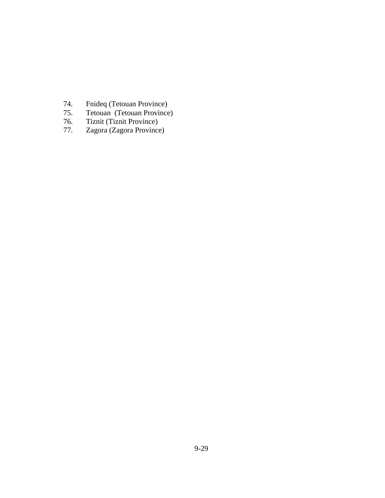- 74. Fnideq (Tetouan Province)
- 75. Tetouan (Tetouan Province)
- 76. Tiznit (Tiznit Province)
- 77. Zagora (Zagora Province)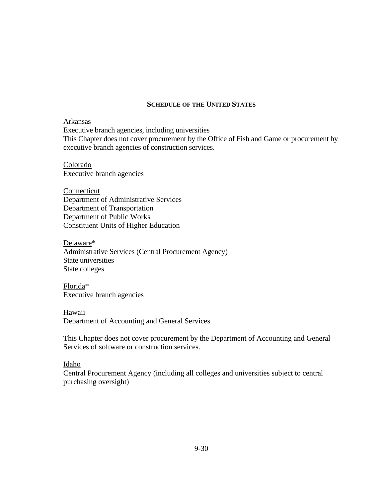#### **SCHEDULE OF THE UNITED STATES**

#### Arkansas

Executive branch agencies, including universities This Chapter does not cover procurement by the Office of Fish and Game or procurement by executive branch agencies of construction services.

Colorado Executive branch agencies

Connecticut Department of Administrative Services Department of Transportation Department of Public Works Constituent Units of Higher Education

Delaware\* Administrative Services (Central Procurement Agency) State universities State colleges

Florida\* Executive branch agencies

Hawaii Department of Accounting and General Services

This Chapter does not cover procurement by the Department of Accounting and General Services of software or construction services.

#### Idaho

Central Procurement Agency (including all colleges and universities subject to central purchasing oversight)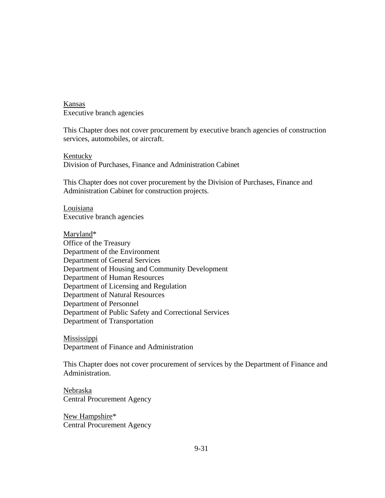Kansas Executive branch agencies

This Chapter does not cover procurement by executive branch agencies of construction services, automobiles, or aircraft.

Kentucky Division of Purchases, Finance and Administration Cabinet

This Chapter does not cover procurement by the Division of Purchases, Finance and Administration Cabinet for construction projects.

Louisiana Executive branch agencies

Maryland\* Office of the Treasury Department of the Environment Department of General Services Department of Housing and Community Development Department of Human Resources Department of Licensing and Regulation Department of Natural Resources Department of Personnel Department of Public Safety and Correctional Services Department of Transportation

**Mississippi** Department of Finance and Administration

This Chapter does not cover procurement of services by the Department of Finance and Administration.

Nebraska Central Procurement Agency

New Hampshire\* Central Procurement Agency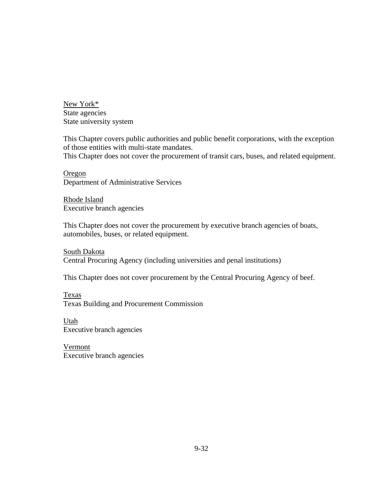New York\* State agencies State university system

This Chapter covers public authorities and public benefit corporations, with the exception of those entities with multi-state mandates. This Chapter does not cover the procurement of transit cars, buses, and related equipment.

Oregon Department of Administrative Services

Rhode Island Executive branch agencies

This Chapter does not cover the procurement by executive branch agencies of boats, automobiles, buses, or related equipment.

South Dakota Central Procuring Agency (including universities and penal institutions)

This Chapter does not cover procurement by the Central Procuring Agency of beef.

Texas Texas Building and Procurement Commission

Utah Executive branch agencies

Vermont Executive branch agencies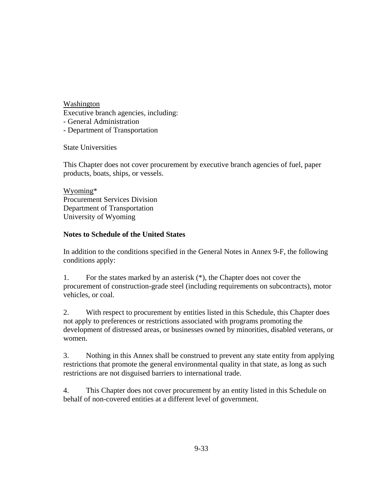Washington Executive branch agencies, including: - General Administration - Department of Transportation

State Universities

This Chapter does not cover procurement by executive branch agencies of fuel, paper products, boats, ships, or vessels.

Wyoming\* Procurement Services Division Department of Transportation University of Wyoming

### **Notes to Schedule of the United States**

In addition to the conditions specified in the General Notes in Annex 9-F, the following conditions apply:

1. For the states marked by an asterisk (\*), the Chapter does not cover the procurement of construction-grade steel (including requirements on subcontracts), motor vehicles, or coal.

2. With respect to procurement by entities listed in this Schedule, this Chapter does not apply to preferences or restrictions associated with programs promoting the development of distressed areas, or businesses owned by minorities, disabled veterans, or women.

3. Nothing in this Annex shall be construed to prevent any state entity from applying restrictions that promote the general environmental quality in that state, as long as such restrictions are not disguised barriers to international trade.

4. This Chapter does not cover procurement by an entity listed in this Schedule on behalf of non-covered entities at a different level of government.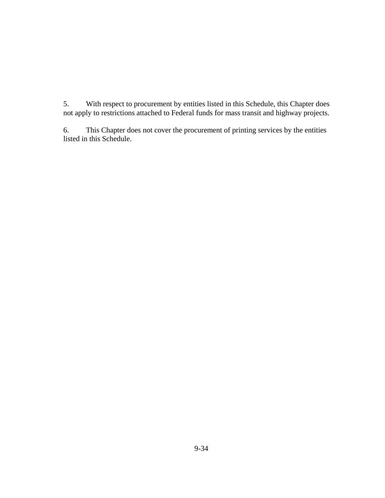5. With respect to procurement by entities listed in this Schedule, this Chapter does not apply to restrictions attached to Federal funds for mass transit and highway projects.

6. This Chapter does not cover the procurement of printing services by the entities listed in this Schedule.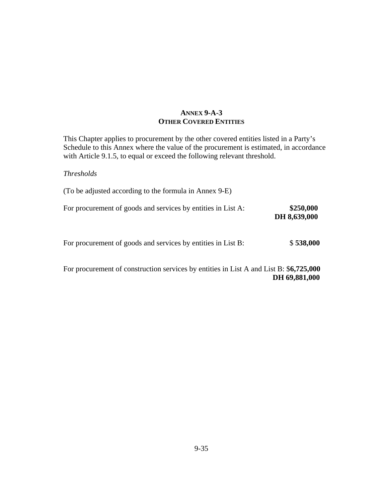## **ANNEX 9-A-3 OTHER COVERED ENTITIES**

This Chapter applies to procurement by the other covered entities listed in a Party's Schedule to this Annex where the value of the procurement is estimated, in accordance with Article 9.1.5, to equal or exceed the following relevant threshold.

#### *Thresholds*

| (To be adjusted according to the formula in Annex 9-E)       |                           |
|--------------------------------------------------------------|---------------------------|
| For procurement of goods and services by entities in List A: | \$250,000<br>DH 8,639,000 |
| For procurement of goods and services by entities in List B: | \$538,000                 |

For procurement of construction services by entities in List A and List B: \$**6,725,000 DH 69,881,000**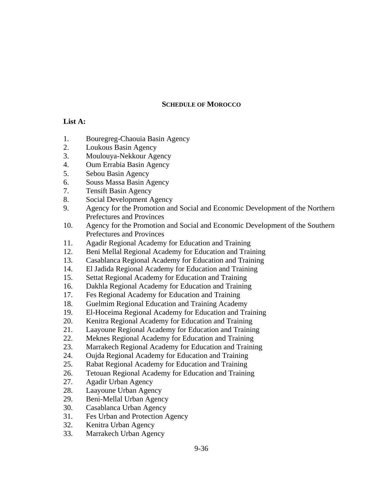## **SCHEDULE OF MOROCCO**

## **List A:**

- 1. Bouregreg-Chaouia Basin Agency
- 2. Loukous Basin Agency
- 3. Moulouya-Nekkour Agency
- 4. Oum Errabia Basin Agency
- 5. Sebou Basin Agency
- 6. Souss Massa Basin Agency
- 7. Tensift Basin Agency
- 8. Social Development Agency
- 9. Agency for the Promotion and Social and Economic Development of the Northern Prefectures and Provinces
- 10. Agency for the Promotion and Social and Economic Development of the Southern Prefectures and Provinces
- 11. Agadir Regional Academy for Education and Training
- 12. Beni Mellal Regional Academy for Education and Training
- 13. Casablanca Regional Academy for Education and Training
- 14. El Jadida Regional Academy for Education and Training
- 15. Settat Regional Academy for Education and Training
- 16. Dakhla Regional Academy for Education and Training
- 17. Fes Regional Academy for Education and Training
- 18. Guelmim Regional Education and Training Academy
- 19. El-Hoceima Regional Academy for Education and Training
- 20. Kenitra Regional Academy for Education and Training
- 21. Laayoune Regional Academy for Education and Training
- 22. Meknes Regional Academy for Education and Training
- 23. Marrakech Regional Academy for Education and Training
- 24. Oujda Regional Academy for Education and Training
- 25. Rabat Regional Academy for Education and Training
- 26. Tetouan Regional Academy for Education and Training
- 27. Agadir Urban Agency
- 28. Laayoune Urban Agency
- 29. Beni-Mellal Urban Agency
- 30. Casablanca Urban Agency
- 31. Fes Urban and Protection Agency
- 32. Kenitra Urban Agency
- 33. Marrakech Urban Agency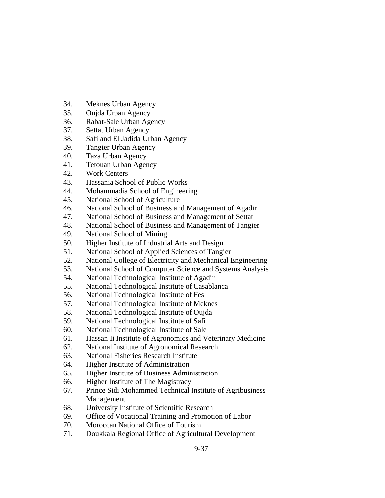- 34. Meknes Urban Agency
- 35. Oujda Urban Agency
- 36. Rabat-Sale Urban Agency
- 37. Settat Urban Agency
- 38. Safi and El Jadida Urban Agency
- 39. Tangier Urban Agency
- 40. Taza Urban Agency
- 41. Tetouan Urban Agency
- 42. Work Centers
- 43. Hassania School of Public Works
- 44. Mohammadia School of Engineering
- 45. National School of Agriculture
- 46. National School of Business and Management of Agadir
- 47. National School of Business and Management of Settat
- 48. National School of Business and Management of Tangier
- 49. National School of Mining
- 50. Higher Institute of Industrial Arts and Design
- 51. National School of Applied Sciences of Tangier
- 52. National College of Electricity and Mechanical Engineering
- 53. National School of Computer Science and Systems Analysis
- 54. National Technological Institute of Agadir
- 55. National Technological Institute of Casablanca
- 56. National Technological Institute of Fes
- 57. National Technological Institute of Meknes
- 58. National Technological Institute of Oujda
- 59. National Technological Institute of Safi
- 60. National Technological Institute of Sale
- 61. Hassan Ii Institute of Agronomics and Veterinary Medicine
- 62. National Institute of Agronomical Research
- 63. National Fisheries Research Institute
- 64. Higher Institute of Administration
- 65. Higher Institute of Business Administration
- 66. Higher Institute of The Magistracy
- 67. Prince Sidi Mohammed Technical Institute of Agribusiness Management
- 68. University Institute of Scientific Research
- 69. Office of Vocational Training and Promotion of Labor
- 70. Moroccan National Office of Tourism
- 71. Doukkala Regional Office of Agricultural Development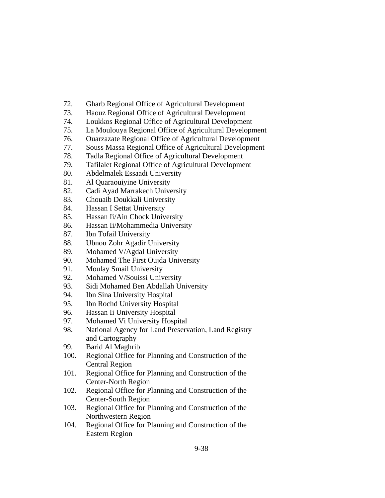- 72. Gharb Regional Office of Agricultural Development
- 73. Haouz Regional Office of Agricultural Development
- 74. Loukkos Regional Office of Agricultural Development
- 75. La Moulouya Regional Office of Agricultural Development
- 76. Ouarzazate Regional Office of Agricultural Development
- 77. Souss Massa Regional Office of Agricultural Development
- 78. Tadla Regional Office of Agricultural Development
- 79. Tafilalet Regional Office of Agricultural Development
- 80. Abdelmalek Essaadi University
- 81. Al Quaraouiyine University
- 82. Cadi Ayad Marrakech University
- 83. Chouaib Doukkali University
- 84. Hassan I Settat University
- 85. Hassan Ii/Ain Chock University
- 86. Hassan Ii/Mohammedia University
- 87. Ibn Tofail University
- 88. Ubnou Zohr Agadir University
- 89. Mohamed V/Agdal University
- 90. Mohamed The First Oujda University
- 91. Moulay Smail University
- 92. Mohamed V/Souissi University
- 93. Sidi Mohamed Ben Abdallah University
- 94. Ibn Sina University Hospital
- 95. Ibn Rochd University Hospital
- 96. Hassan Ii University Hospital
- 97. Mohamed Vi University Hospital
- 98. National Agency for Land Preservation, Land Registry and Cartography
- 99. Barid Al Maghrib
- 100. Regional Office for Planning and Construction of the Central Region
- 101. Regional Office for Planning and Construction of the Center-North Region
- 102. Regional Office for Planning and Construction of the Center-South Region
- 103. Regional Office for Planning and Construction of the Northwestern Region
- 104. Regional Office for Planning and Construction of the Eastern Region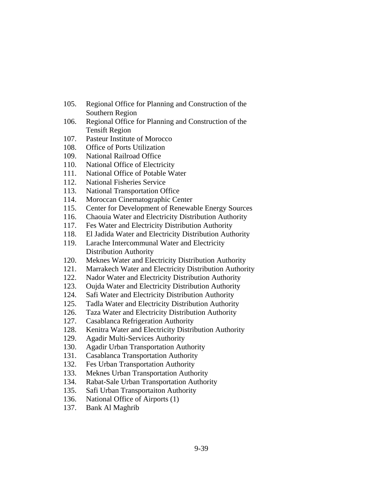- 105. Regional Office for Planning and Construction of the Southern Region
- 106. Regional Office for Planning and Construction of the Tensift Region
- 107. Pasteur Institute of Morocco
- 108. Office of Ports Utilization
- 109. National Railroad Office
- 110. National Office of Electricity
- 111. National Office of Potable Water
- 112. National Fisheries Service
- 113. National Transportation Office
- 114. Moroccan Cinematographic Center
- 115. Center for Development of Renewable Energy Sources
- 116. Chaouia Water and Electricity Distribution Authority
- 117. Fes Water and Electricity Distribution Authority
- 118. El Jadida Water and Electricity Distribution Authority
- 119. Larache Intercommunal Water and Electricity Distribution Authority
- 120. Meknes Water and Electricity Distribution Authority
- 121. Marrakech Water and Electricity Distribution Authority
- 122. Nador Water and Electricity Distribution Authority
- 123. Oujda Water and Electricity Distribution Authority
- 124. Safi Water and Electricity Distribution Authority
- 125. Tadla Water and Electricity Distribution Authority
- 126. Taza Water and Electricity Distribution Authority
- 127. Casablanca Refrigeration Authority
- 128. Kenitra Water and Electricity Distribution Authority
- 129. Agadir Multi-Services Authority
- 130. Agadir Urban Transportation Authority
- 131. Casablanca Transportation Authority
- 132. Fes Urban Transportation Authority
- 133. Meknes Urban Transportation Authority
- 134. Rabat-Sale Urban Transportation Authority
- 135. Safi Urban Transportaiton Authority
- 136. National Office of Airports (1)
- 137. Bank Al Maghrib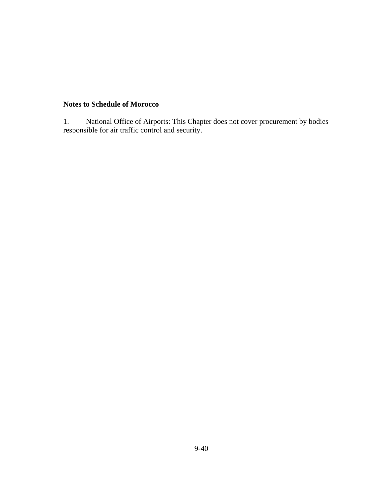# **Notes to Schedule of Morocco**

1. National Office of Airports: This Chapter does not cover procurement by bodies responsible for air traffic control and security.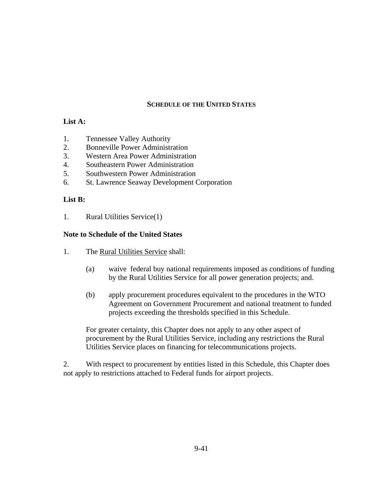### **SCHEDULE OF THE UNITED STATES**

## **List A:**

- 1. Tennessee Valley Authority
- 2. Bonneville Power Administration
- 3. Western Area Power Administration
- 4. Southeastern Power Administration
- 5. Southwestern Power Administration
- 6. St. Lawrence Seaway Development Corporation

### **List B:**

1. Rural Utilities Service(1)

### **Note to Schedule of the United States**

- 1. The Rural Utilities Service shall:
	- (a) waive federal buy national requirements imposed as conditions of funding by the Rural Utilities Service for all power generation projects; and.
	- (b) apply procurement procedures equivalent to the procedures in the WTO Agreement on Government Procurement and national treatment to funded projects exceeding the thresholds specified in this Schedule.

For greater certainty, this Chapter does not apply to any other aspect of procurement by the Rural Utilities Service, including any restrictions the Rural Utilities Service places on financing for telecommunications projects.

2. With respect to procurement by entities listed in this Schedule, this Chapter does not apply to restrictions attached to Federal funds for airport projects.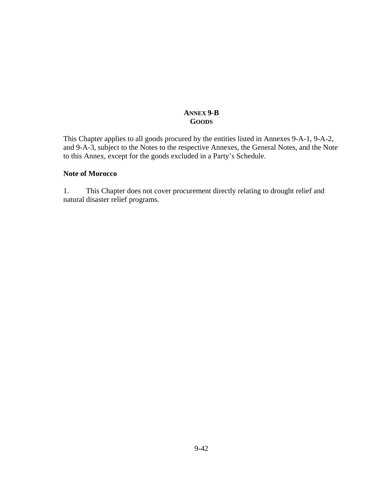## **ANNEX 9-B GOODS**

This Chapter applies to all goods procured by the entities listed in Annexes 9-A-1, 9-A-2, and 9-A-3, subject to the Notes to the respective Annexes, the General Notes, and the Note to this Annex, except for the goods excluded in a Party's Schedule.

#### **Note of Morocco**

1. This Chapter does not cover procurement directly relating to drought relief and natural disaster relief programs.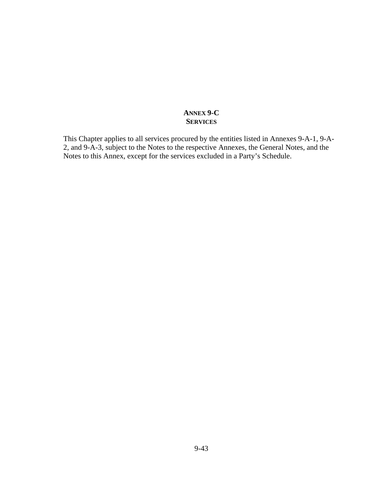## **ANNEX 9-C SERVICES**

This Chapter applies to all services procured by the entities listed in Annexes 9-A-1, 9-A-2, and 9-A-3, subject to the Notes to the respective Annexes, the General Notes, and the Notes to this Annex, except for the services excluded in a Party's Schedule.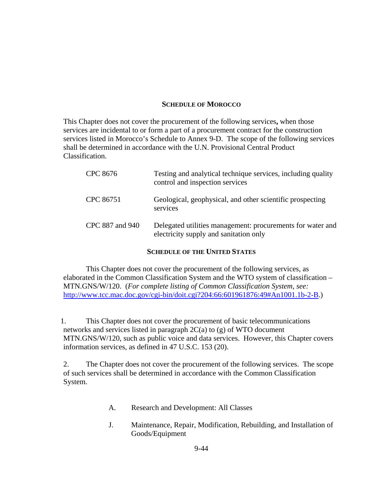#### **SCHEDULE OF MOROCCO**

This Chapter does not cover the procurement of the following services**,** when those services are incidental to or form a part of a procurement contract for the construction services listed in Morocco's Schedule to Annex 9-D. The scope of the following services shall be determined in accordance with the U.N. Provisional Central Product Classification.

| CPC 8676        | Testing and analytical technique services, including quality<br>control and inspection services      |
|-----------------|------------------------------------------------------------------------------------------------------|
| CPC 86751       | Geological, geophysical, and other scientific prospecting<br>services                                |
| CPC 887 and 940 | Delegated utilities management: procurements for water and<br>electricity supply and sanitation only |

#### **SCHEDULE OF THE UNITED STATES**

This Chapter does not cover the procurement of the following services, as elaborated in the Common Classification System and the WTO system of classification – MTN.GNS/W/120. (*For complete listing of Common Classification System, see:*  http://www.tcc.mac.doc.gov/cgi-bin/doit.cgi?204:66:601961876:49#An1001.1b-2-B.)

1. This Chapter does not cover the procurement of basic telecommunications networks and services listed in paragraph 2C(a) to (g) of WTO document MTN.GNS/W/120, such as public voice and data services. However, this Chapter covers information services, as defined in 47 U.S.C. 153 (20).

2. The Chapter does not cover the procurement of the following services. The scope of such services shall be determined in accordance with the Common Classification System.

- A. Research and Development: All Classes
- J. Maintenance, Repair, Modification, Rebuilding, and Installation of Goods/Equipment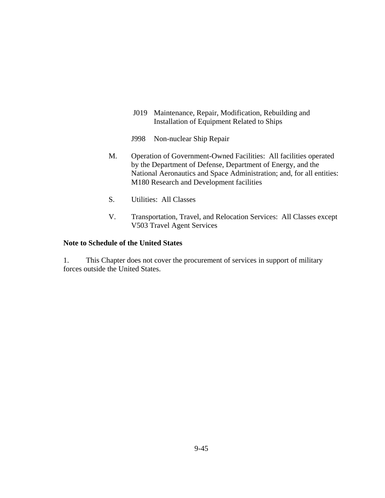- J019 Maintenance, Repair, Modification, Rebuilding and Installation of Equipment Related to Ships
- J998 Non-nuclear Ship Repair
- M. Operation of Government-Owned Facilities: All facilities operated by the Department of Defense, Department of Energy, and the National Aeronautics and Space Administration; and, for all entities: M180 Research and Development facilities
- S. Utilities: All Classes
- V. Transportation, Travel, and Relocation Services: All Classes except V503 Travel Agent Services

#### **Note to Schedule of the United States**

1. This Chapter does not cover the procurement of services in support of military forces outside the United States.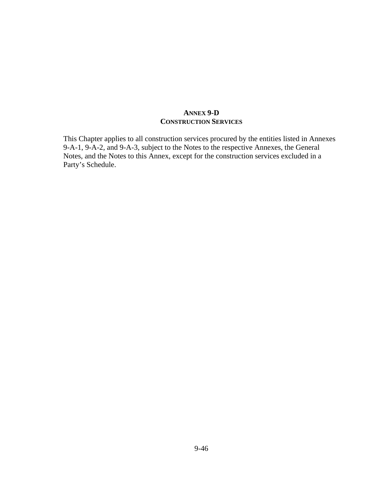## **ANNEX 9-D CONSTRUCTION SERVICES**

This Chapter applies to all construction services procured by the entities listed in Annexes 9-A-1, 9-A-2, and 9-A-3, subject to the Notes to the respective Annexes, the General Notes, and the Notes to this Annex, except for the construction services excluded in a Party's Schedule.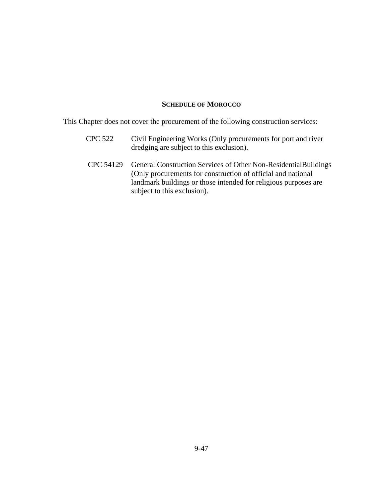### **SCHEDULE OF MOROCCO**

This Chapter does not cover the procurement of the following construction services:

- CPC 522 Civil Engineering Works (Only procurements for port and river dredging are subject to this exclusion).
- CPC 54129 General Construction Services of Other Non-ResidentialBuildings (Only procurements for construction of official and national landmark buildings or those intended for religious purposes are subject to this exclusion).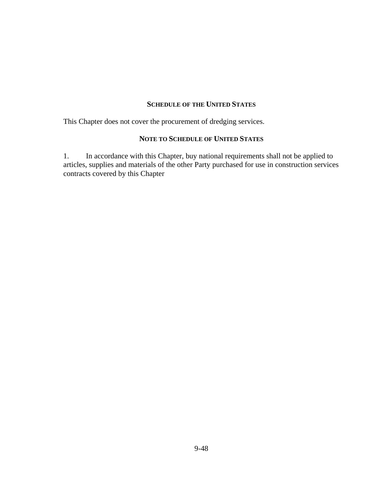#### **SCHEDULE OF THE UNITED STATES**

This Chapter does not cover the procurement of dredging services.

## **NOTE TO SCHEDULE OF UNITED STATES**

1. In accordance with this Chapter, buy national requirements shall not be applied to articles, supplies and materials of the other Party purchased for use in construction services contracts covered by this Chapter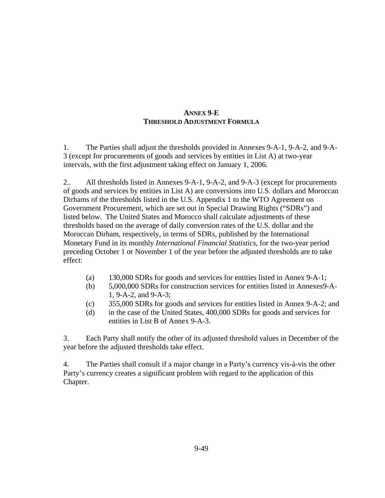# **ANNEX 9-E THRESHOLD ADJUSTMENT FORMULA**

1. The Parties shall adjust the thresholds provided in Annexes 9-A-1, 9-A-2, and 9-A-3 (except for procurements of goods and services by entities in List A) at two-year intervals, with the first adjustment taking effect on January 1, 2006.

2.. All thresholds listed in Annexes 9-A-1, 9-A-2, and 9-A-3 (except for procurements of goods and services by entities in List A) are conversions into U.S. dollars and Moroccan Dirhams of the thresholds listed in the U.S. Appendix 1 to the WTO Agreement on Government Procurement, which are set out in Special Drawing Rights ("SDRs") and listed below. The United States and Morocco shall calculate adjustments of these thresholds based on the average of daily conversion rates of the U.S. dollar and the Moroccan Dirham, respectively, in terms of SDRs, published by the International Monetary Fund in its monthly *International Financial Statistics*, for the two-year period preceding October 1 or November 1 of the year before the adjusted thresholds are to take effect:

- (a) 130,000 SDRs for goods and services for entities listed in Annex 9-A-1;
- (b) 5,000,000 SDRs for construction services for entities listed in Annexes9-A-1, 9-A-2, and 9-A-3;
- (c) 355,000 SDRs for goods and services for entities listed in Annex 9-A-2; and
- (d) in the case of the United States, 400,000 SDRs for goods and services for entities in List B of Annex 9-A-3.

3. Each Party shall notify the other of its adjusted threshold values in December of the year before the adjusted thresholds take effect.

4. The Parties shall consult if a major change in a Party's currency vis-à-vis the other Party's currency creates a significant problem with regard to the application of this Chapter.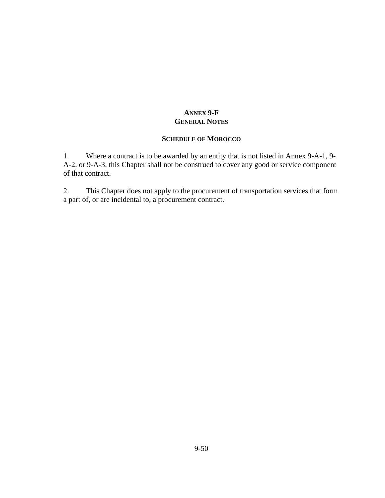# **ANNEX 9-F GENERAL NOTES**

## **SCHEDULE OF MOROCCO**

1. Where a contract is to be awarded by an entity that is not listed in Annex 9-A-1, 9- A-2, or 9-A-3, this Chapter shall not be construed to cover any good or service component of that contract.

2. This Chapter does not apply to the procurement of transportation services that form a part of, or are incidental to, a procurement contract.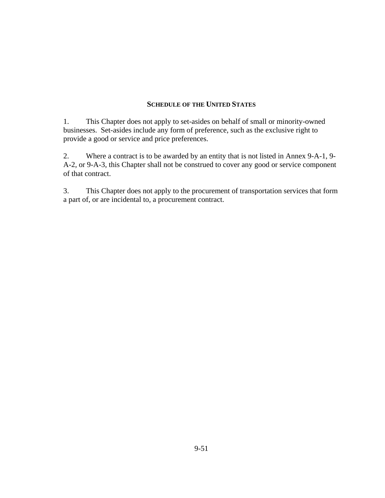#### **SCHEDULE OF THE UNITED STATES**

1. This Chapter does not apply to set-asides on behalf of small or minority-owned businesses. Set-asides include any form of preference, such as the exclusive right to provide a good or service and price preferences.

2. Where a contract is to be awarded by an entity that is not listed in Annex 9-A-1, 9- A-2, or 9-A-3, this Chapter shall not be construed to cover any good or service component of that contract.

3. This Chapter does not apply to the procurement of transportation services that form a part of, or are incidental to, a procurement contract.